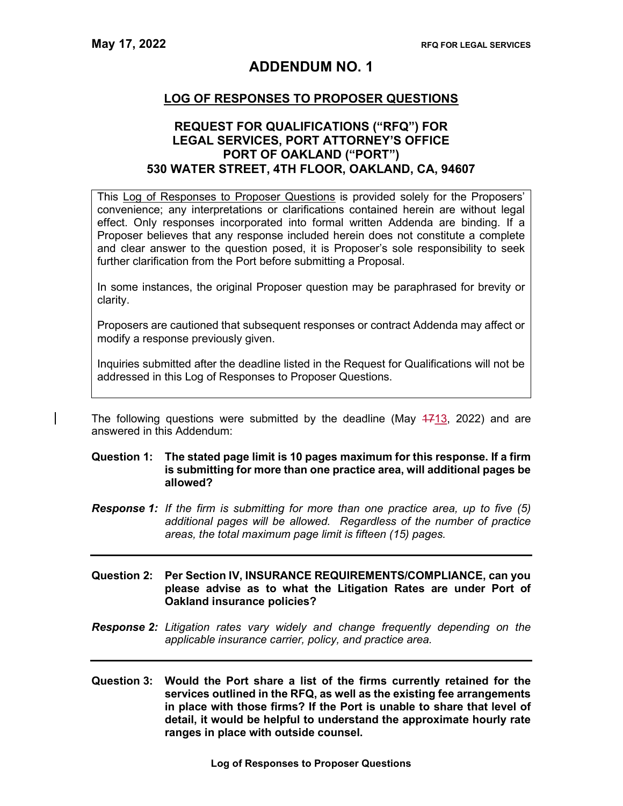# ADDENDUM NO. 1

## LOG OF RESPONSES TO PROPOSER QUESTIONS

## REQUEST FOR QUALIFICATIONS ("RFQ") FOR LEGAL SERVICES, PORT ATTORNEY'S OFFICE PORT OF OAKLAND ("PORT") 530 WATER STREET, 4TH FLOOR, OAKLAND, CA, 94607

This Log of Responses to Proposer Questions is provided solely for the Proposers' convenience; any interpretations or clarifications contained herein are without legal effect. Only responses incorporated into formal written Addenda are binding. If a Proposer believes that any response included herein does not constitute a complete and clear answer to the question posed, it is Proposer's sole responsibility to seek further clarification from the Port before submitting a Proposal.

In some instances, the original Proposer question may be paraphrased for brevity or clarity.

Proposers are cautioned that subsequent responses or contract Addenda may affect or modify a response previously given.

Inquiries submitted after the deadline listed in the Request for Qualifications will not be addressed in this Log of Responses to Proposer Questions.

The following questions were submitted by the deadline (May  $4713$ , 2022) and are answered in this Addendum:

### Question 1: The stated page limit is 10 pages maximum for this response. If a firm is submitting for more than one practice area, will additional pages be allowed?

- Response 1: If the firm is submitting for more than one practice area, up to five (5) additional pages will be allowed. Regardless of the number of practice areas, the total maximum page limit is fifteen (15) pages.
- Question 2: Per Section IV, INSURANCE REQUIREMENTS/COMPLIANCE, can you please advise as to what the Litigation Rates are under Port of Oakland insurance policies?
- Response 2: Litigation rates vary widely and change frequently depending on the applicable insurance carrier, policy, and practice area.
- Question 3: Would the Port share a list of the firms currently retained for the services outlined in the RFQ, as well as the existing fee arrangements in place with those firms? If the Port is unable to share that level of detail, it would be helpful to understand the approximate hourly rate ranges in place with outside counsel.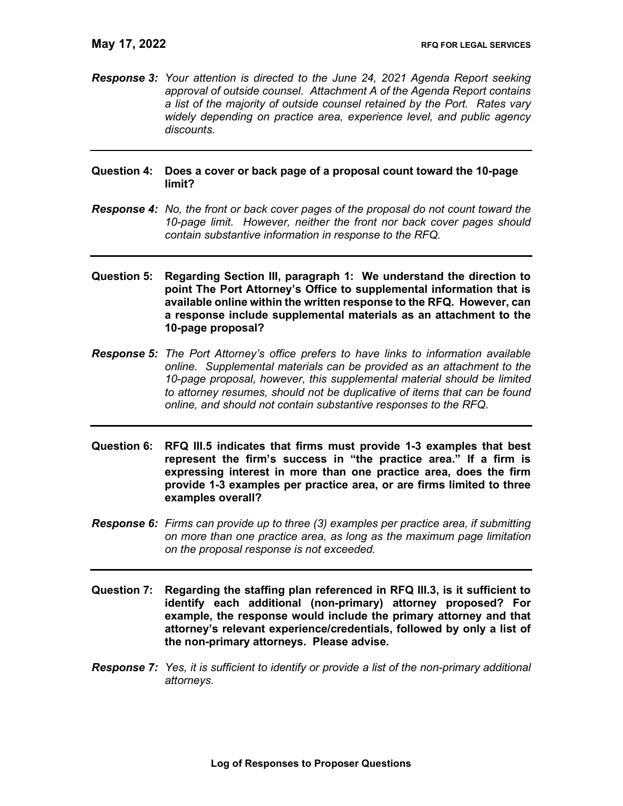Response 3: Your attention is directed to the June 24, 2021 Agenda Report seeking approval of outside counsel. Attachment A of the Agenda Report contains a list of the majority of outside counsel retained by the Port. Rates vary widely depending on practice area, experience level, and public agency discounts.

### Question 4: Does a cover or back page of a proposal count toward the 10-page limit?

- Response 4: No, the front or back cover pages of the proposal do not count toward the 10-page limit. However, neither the front nor back cover pages should contain substantive information in response to the RFQ.
- Question 5: Regarding Section III, paragraph 1: We understand the direction to point The Port Attorney's Office to supplemental information that is available online within the written response to the RFQ. However, can a response include supplemental materials as an attachment to the 10-page proposal?
- Response 5: The Port Attorney's office prefers to have links to information available online. Supplemental materials can be provided as an attachment to the 10-page proposal, however, this supplemental material should be limited to attorney resumes, should not be duplicative of items that can be found online, and should not contain substantive responses to the RFQ.
- Question 6: RFQ III.5 indicates that firms must provide 1-3 examples that best represent the firm's success in "the practice area." If a firm is expressing interest in more than one practice area, does the firm provide 1-3 examples per practice area, or are firms limited to three examples overall?
- **Response 6:** Firms can provide up to three (3) examples per practice area, if submitting on more than one practice area, as long as the maximum page limitation on the proposal response is not exceeded.
- Question 7: Regarding the staffing plan referenced in RFQ III.3, is it sufficient to identify each additional (non-primary) attorney proposed? For example, the response would include the primary attorney and that attorney's relevant experience/credentials, followed by only a list of the non-primary attorneys. Please advise.
- **Response 7:** Yes, it is sufficient to identify or provide a list of the non-primary additional attorneys.